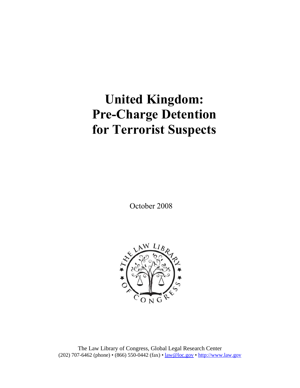# **United Kingdom: Pre-Charge Detention for Terrorist Suspects**

October 2008



The Law Library of Congress, Global Legal Research Center (202) 707-6462 (phone) • (866) 550-0442 (fax) • law@loc.gov • http://www.law.gov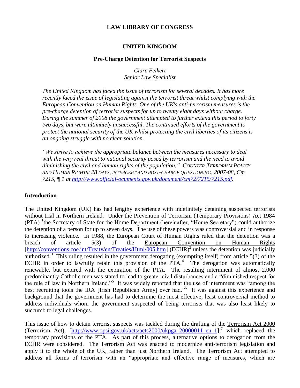# **LAW LIBRARY OF CONGRESS**

#### **UNITED KINGDOM**

#### **Pre-Charge Detention for Terrorist Suspects**

*Clare Feikert Senior Law Specialist*

*The United Kingdom has faced the issue of terrorism for several decades. It has more recently faced the issue of legislating against the terrorist threat whilst complying with the European Convention on Human Rights. One of the UK's anti-terrorism measures is the pre-charge detention of terrorist suspects for up to twenty eight days without charge. During the summer of 2008 the government attempted to further extend this period to forty two days, but were ultimately unsuccessful. The continued efforts of the government to protect the national security of the UK whilst protecting the civil liberties of its citizens is an ongoing struggle with no clear solution.* 

*"We strive to achieve the appropriate balance between the measures necessary to deal with the very real threat to national security posed by terrorism and the need to avoid diminishing the civil and human rights of the population." COUNTER-TERRORISM POLICY AND HUMAN RIGHTS: 28 DAYS, INTERCEPT AND POST-CHARGE QUESTIONING, 2007-08, Cm 7215, ¶ 1 at [http://www.official-ocuments.gov.uk/document/cm72/7215/7215.pdf.](http://www.official-ocuments.gov.uk/document/cm72/7215/7215.pdf)*

#### **Introduction**

The United Kingdom (UK) has had lengthy experience with indefinitely detaining suspected terrorists without trial in Northern Ireland. Under the Prevention of Terrorism (Temporary Provisions) Act 1984 (PTA) <sup>1</sup>the Secretary of State for the Home Department (hereinafter, "Home Secretary") could authorize the detention of a person for up to seven days. The use of these powers was controversial and in response to increasing violence. In 1988, the European Court of Human Rights ruled that the detention was a breach of article 5(3) of the European Convention on Human Rights [\[http://conventions.coe.int/Treaty/en/Treaties/Html/005.htm\]](http://conventions.coe.int/Treaty/en/Treaties/Html/005.htm) (ECHR)<sup>2</sup> unless the detention was judicially authorized.<sup>3</sup> This ruling resulted in the government derogating (exempting itself) from article  $5(3)$  of the ECHR in order to lawfully retain this provision of the  $PTA<sup>4</sup>$ . The derogation was automatically renewable, but expired with the expiration of the PTA. The resulting internment of almost 2,000 predominantly Catholic men was stated to lead to greater civil disturbances and a "diminished respect for the rule of law in Northern Ireland."<sup>5</sup> It was widely reported that the use of internment was "among the best recruiting tools the IRA [Irish Republican Army] ever had."<sup>6</sup> It was against this experience and background that the government has had to determine the most effective, least controversial method to address individuals whom the government suspected of being terrorists that was also least likely to succumb to legal challenges.

This issue of how to detain terrorist suspects was tackled during the drafting of the Terrorism Act 2000 (Terrorism Act), [\[http://www.opsi.gov.uk/acts/acts2000/ukpga\\_20000011\\_en\\_1\]](http://www.opsi.gov.uk/acts/acts2000/ukpga_20000011_en_1),<sup>7</sup> which replaced the temporary provisions of the PTA. As part of this process, alternative options to derogation from the ECHR were considered. The Terrorism Act was enacted to modernize anti-terrorism legislation and apply it to the whole of the UK, rather than just Northern Ireland. The Terrorism Act attempted to address all forms of terrorism with an "appropriate and effective range of measures, which are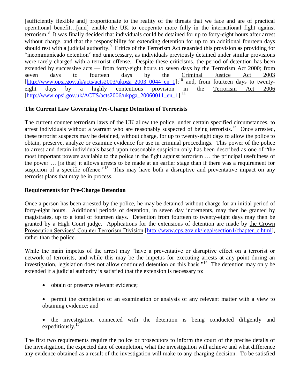[sufficiently flexible and] proportionate to the reality of the threats that we face and are of practical operational benefit…[and] enable the UK to cooperate more fully in the international fight against terrorism.<sup>8</sup> It was finally decided that individuals could be detained for up to forty-eight hours after arrest without charge, and that the responsibility for extending detention for up to an additional fourteen days should rest with a judicial authority.<sup>9</sup> Critics of the Terrorism Act regarded this provision as providing for "incommunicado detention" and unnecessary, as individuals previously detained under similar provisions were rarely charged with a terrorist offense. Despite these criticisms, the period of detention has been extended by successive acts — from forty-eight hours to seven days by the Terrorism Act 2000; from seven days to fourteen days by the Criminal Justice Act 2003  $\frac{\left[\text{http://www.opsi.gov.uk/acts/acts2003/ukpga 2003 0044 en 1\right]}{10}$ ;<sup>10</sup> and, from fourteen days to twenty-<br>eight days by a highly contentious provision in the Terrorism Act 2006 eight days by a highly contentious provision in the Terrorism Act 2006  $[http://www.opsi.gov.uk/ACTS/acts2006/ukpga 20060011en 1].<sup>11</sup>$ 

# **The Current Law Governing Pre-Charge Detention of Terrorists**

The current counter terrorism laws of the UK allow the police, under certain specified circumstances, to arrest individuals without a warrant who are reasonably suspected of being terrorists.<sup>12</sup> Once arrested, these terrorist suspects may be detained, without charge, for up to twenty-eight days to allow the police to obtain, preserve, analyze or examine evidence for use in criminal proceedings. This power of the police to arrest and detain individuals based upon reasonable suspicion only has been described as one of "the most important powers available to the police in the fight against terrorism … the principal usefulness of the power … [is that] it allows arrests to be made at an earlier stage than if there was a requirement for suspicion of a specific offence."<sup>13</sup> This may have both a disruptive and preventative impact on any terrorist plans that may be in process.

# **Requirements for Pre-Charge Detention**

Once a person has been arrested by the police, he may be detained without charge for an initial period of forty-eight hours. Additional periods of detention, in seven day increments, may then be granted by magistrates, up to a total of fourteen days. Detention from fourteen to twenty-eight days may then be granted by a High Court judge. Applications for the extensions of detention are made by the Crown Prosecution Services' Counter Terrorism Division [\[http://www.cps.gov.uk/legal/section1/chapter\\_c.html\]](http://www.cps.gov.uk/legal/section1/chapter_c.html), rather than the police.

While the main impetus of the arrest may "have a preventative or disruptive effect on a terrorist or network of terrorists, and while this may be the impetus for executing arrests at any point during an investigation, legislation does not allow continued detention on this basis."<sup>14</sup> The detention may only be extended if a judicial authority is satisfied that the extension is necessary to:

- obtain or preserve relevant evidence;
- permit the completion of an examination or analysis of any relevant matter with a view to obtaining evidence; and
- the investigation connected with the detention is being conducted diligently and expeditiously. $15$

The first two requirements require the police or prosecutors to inform the court of the precise details of the investigation, the expected date of completion, what the investigation will achieve and what difference any evidence obtained as a result of the investigation will make to any charging decision. To be satisfied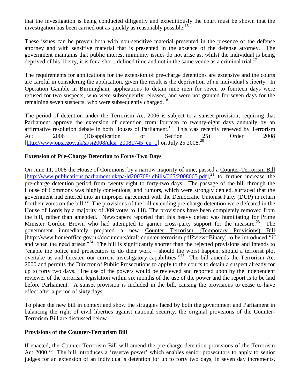that the investigation is being conducted diligently and expeditiously the court must be shown that the investigation has been carried out as quickly as reasonably possible.<sup>16</sup>

These issues can be proven both with non-sensitive material presented in the presence of the defense attorney and with sensitive material that is presented in the absence of the defense attorney. The government maintains that public interest immunity issues do not arise as, whilst the individual is being deprived of his liberty, it is for a short, defined time and not in the same venue as a criminal trial.<sup>17</sup>

The requirements for applications for the extension of pre-charge detentions are extensive and the courts are careful in considering the application, given the result is the deprivation of an individual's liberty. In Operation Gamble in Birmingham, applications to detain nine men for seven to fourteen days were refused for two suspects, who were subsequently released, and were not granted for seven days for the remaining seven suspects, who were subsequently charged.<sup>18</sup>

The period of detention under the Terrorism Act 2006 is subject to a sunset provision, requiring that Parliament approve the extension of detention from fourteen to twenty-eight days annually by an affirmative resolution debate in both Houses of Parliament.<sup>19</sup> This was recently renewed by Terrorism Act 2006 (Disapplication of Section 25) Order 2008 [\[http://www.opsi.gov.uk/si/si2008/uksi\\_20081745\\_en\\_1\]](http://www.opsi.gov.uk/si/si2008/uksi_20081745_en_1) on July 25 2008.<sup>20</sup>

# **Extension of Pre-Charge Detention to Forty-Two Days**

On June 11, 2008 the House of Commons, by a narrow majority of nine, passed a Counter-Terrorism Bill [\[http://www.publications.parliament.uk/pa/ld200708/ldbills/065/2008065.pdf\]](http://www.publications.parliament.uk/pa/ld200708/ldbills/065/2008065.pdf),<sup>21</sup> to further increase the pre-charge detention period from twenty eight to forty-two days. The passage of the bill through the House of Commons was highly contentious, and rumors, which were strongly denied, surfaced that the government had entered into an improper agreement with the Democratic Unionist Party (DUP) in return for their votes on the bill.<sup>22</sup> The provisions of the bill extending pre-charge detention were defeated in the House of Lords by a majority of 309 votes to 118. The provisions have been completely removed from the bill, rather than amended. Newspapers reported that this heavy defeat was humiliating for Prime Minister Gordon Brown who had attempted to garner cross-party support for the measure.<sup>23</sup> The government immediately prepared a new Counter Terrorism (Temporary Provisions) Bill [http://www.homeoffice.gov.uk/documents/draft-counter-terrorism.pdf?view=Binary] to be introduced "if and when the need arises."<sup>24</sup> The bill is significantly shorter than the rejected provisions and intends to "enable the police and prosecutors to do their work – should the worst happen, should a terrorist plot overtake us and threaten our current investigatory capabilities."<sup>25</sup> The bill amends the Terrorism Act 2000 and permits the Director of Public Prosecutions to apply to the courts to detain a suspect already for up to forty two days. The use of the powers would be reviewed and reported upon by the independent reviewer of the terrorism legislation within six months of the use of the power and the report is to be laid before Parliament. A sunset provision is included in the bill, causing the provisions to cease to have effect after a period of sixty days.

To place the new bill in context and show the struggles faced by both the government and Parliament in balancing the right of civil liberties against national security, the original provisions of the Counter-Terrorism Bill are discussed below.

# **Provisions of the Counter-Terrorism Bill**

If enacted, the Counter-Terrorism Bill will amend the pre-charge detention provisions of the Terrorism Act 2000.<sup>26</sup> The bill introduces a 'reserve power' which enables senior prosecutors to apply to senior judges for an extension of an individual's detention for up to forty two days, in seven day increments,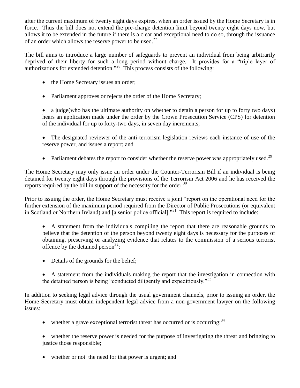after the current maximum of twenty eight days expires, when an order issued by the Home Secretary is in force. Thus the bill does not extend the pre-charge detention limit beyond twenty eight days now, but allows it to be extended in the future if there is a clear and exceptional need to do so, through the issuance of an order which allows the reserve power to be used. $27$ 

The bill aims to introduce a large number of safeguards to prevent an individual from being arbitrarily deprived of their liberty for such a long period without charge. It provides for a "triple layer of authorizations for extended detention." <sup>28</sup> This process consists of the following:

- the Home Secretary issues an order;
- Parliament approves or rejects the order of the Home Secretary;

 a judge(who has the ultimate authority on whether to detain a person for up to forty two days) hears an application made under the order by the Crown Prosecution Service (CPS) for detention of the individual for up to forty-two days, in seven day increments;

- The designated reviewer of the anti-terrorism legislation reviews each instance of use of the reserve power, and issues a report; and
- Parliament debates the report to consider whether the reserve power was appropriately used.<sup>29</sup>

The Home Secretary may only issue an order under the Counter-Terrorism Bill if an individual is being detained for twenty eight days through the provisions of the Terrorism Act 2006 and he has received the reports required by the bill in support of the necessity for the order. 30

Prior to issuing the order, the Home Secretary must receive a joint "report on the operational need for the further extension of the maximum period required from the Director of Public Prosecutions (or equivalent in Scotland or Northern Ireland) and [a senior police official]."<sup>31</sup> This report is required to include:

 A statement from the individuals compiling the report that there are reasonable grounds to believe that the detention of the person beyond twenty eight days is necessary for the purposes of obtaining, preserving or analyzing evidence that relates to the commission of a serious terrorist offence by the detained person $^{32}$ ;

- Details of the grounds for the belief;
- A statement from the individuals making the report that the investigation in connection with the detained person is being "conducted diligently and expeditiously."<sup>33</sup>

In addition to seeking legal advice through the usual government channels, prior to issuing an order, the Home Secretary must obtain independent legal advice from a non-government lawyer on the following issues:

- whether a grave exceptional terrorist threat has occurred or is occurring;  $34$
- whether the reserve power is needed for the purpose of investigating the threat and bringing to justice those responsible;
- whether or not the need for that power is urgent; and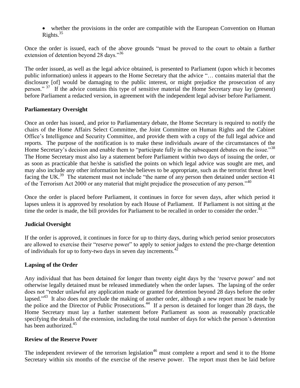whether the provisions in the order are compatible with the European Convention on Human Rights. $35$ 

Once the order is issued, each of the above grounds "must be proved to the court to obtain a further extension of detention beyond 28 days."<sup>36</sup>

The order issued, as well as the legal advice obtained, is presented to Parliament (upon which it becomes public information) unless it appears to the Home Secretary that the advice "… contains material that the disclosure [of] would be damaging to the public interest, or might prejudice the prosecution of any person."<sup>37</sup> If the advice contains this type of sensitive material the Home Secretary may lay (present) before Parliament a redacted version, in agreement with the independent legal adviser before Parliament.

### **Parliamentary Oversight**

Once an order has issued, and prior to Parliamentary debate, the Home Secretary is required to notify the chairs of the Home Affairs Select Committee, the Joint Committee on Human Rights and the Cabinet Office's Intelligence and Security Committee, and provide them with a copy of the full legal advice and reports. The purpose of the notification is to make these individuals aware of the circumstances of the Home Secretary's decision and enable them to "participate fully in the subsequent debates on the issue."<sup>38</sup> The Home Secretary must also lay a statement before Parliament within two days of issuing the order, or as soon as practicable that he/she is satisfied the points on which legal advice was sought are met, and may also include any other information he/she believes to be appropriate, such as the terrorist threat level facing the UK.<sup>39</sup> The statement must not include "the name of any person then detained under section 41 of the Terrorism Act 2000 or any material that might prejudice the prosecution of any person."<sup>40</sup>

Once the order is placed before Parliament, it continues in force for seven days, after which period it lapses unless it is approved by resolution by each House of Parliament. If Parliament is not sitting at the time the order is made, the bill provides for Parliament to be recalled in order to consider the order.<sup>41</sup>

# **Judicial Oversight**

If the order is approved, it continues in force for up to thirty days, during which period senior prosecutors are allowed to exercise their "reserve power" to apply to senior judges to extend the pre-charge detention of individuals for up to forty-two days in seven day increments. $42$ 

# **Lapsing of the Order**

Any individual that has been detained for longer than twenty eight days by the 'reserve power' and not otherwise legally detained must be released immediately when the order lapses. The lapsing of the order does not "render unlawful any application made or granted for detention beyond 28 days before the order lapsed."<sup>43</sup> It also does not preclude the making of another order, although a new report must be made by the police and the Director of Public Prosecutions.<sup>44</sup> If a person is detained for longer than 28 days, the Home Secretary must lay a further statement before Parliament as soon as reasonably practicable specifying the details of the extension, including the total number of days for which the person's detention has been authorized.<sup>45</sup>

#### **Review of the Reserve Power**

The independent reviewer of the terrorism legislation<sup>46</sup> must complete a report and send it to the Home Secretary within six months of the exercise of the reserve power. The report must then be laid before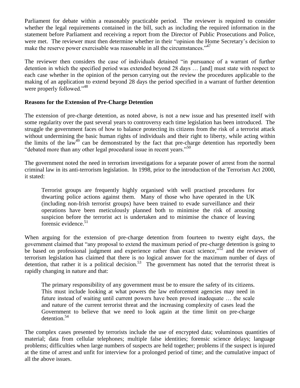Parliament for debate within a reasonably practicable period. The reviewer is required to consider whether the legal requirements contained in the bill, such as including the required information in the statement before Parliament and receiving a report from the Director of Public Prosecutions and Police, were met. The reviewer must then determine whether in their "opinion the Home Secretary's decision to make the reserve power exercisable was reasonable in all the circumstances."<sup>47</sup>

The reviewer then considers the case of individuals detained "in pursuance of a warrant of further detention in which the specified period was extended beyond 28 days … [and] must state with respect to each case whether in the opinion of the person carrying out the review the procedures applicable to the making of an application to extend beyond 28 days the period specified in a warrant of further detention were properly followed."<sup>48</sup>

# **Reasons for the Extension of Pre-Charge Detention**

The extension of pre-charge detention, as noted above, is not a new issue and has presented itself with some regularity over the past several years to controversy each time legislation has been introduced. The struggle the government faces of how to balance protecting its citizens from the risk of a terrorist attack without undermining the basic human rights of individuals and their right to liberty, while acting within the limits of the law<sup>49</sup> can be demonstrated by the fact that pre-charge detention has reportedly been "debated more than any other legal procedural issue in recent years."<sup>50</sup>

The government noted the need in terrorism investigations for a separate power of arrest from the normal criminal law in its anti-terrorism legislation. In 1998, prior to the introduction of the Terrorism Act 2000, it stated:

Terrorist groups are frequently highly organised with well practised procedures for thwarting police actions against them. Many of those who have operated in the UK (including non-Irish terrorist groups) have been trained to evade surveillance and their operations have been meticulously planned both to minimise the risk of arousing suspicion before the terrorist act is undertaken and to minimise the chance of leaving forensic evidence. $51$ 

When arguing for the extension of pre-charge detention from fourteen to twenty eight days, the government claimed that "any proposal to extend the maximum period of pre-charge detention is going to be based on professional judgment and experience rather than exact science," $\bar{5}^2$  and the reviewer of terrorism legislation has claimed that there is no logical answer for the maximum number of days of detention, that rather it is a political decision.<sup>53</sup> The government has noted that the terrorist threat is rapidly changing in nature and that:

The primary responsibility of any government must be to ensure the safety of its citizens. This must include looking at what powers the law enforcement agencies may need in future instead of waiting until current powers have been proved inadequate … the scale and nature of the current terrorist threat and the increasing complexity of cases lead the Government to believe that we need to look again at the time limit on pre-charge detention.<sup>54</sup>

The complex cases presented by terrorists include the use of encrypted data; voluminous quantities of material; data from cellular telephones; multiple false identities; forensic science delays; language problems; difficulties when large numbers of suspects are held together; problems if the suspect is injured at the time of arrest and unfit for interview for a prolonged period of time; and the cumulative impact of all the above issues.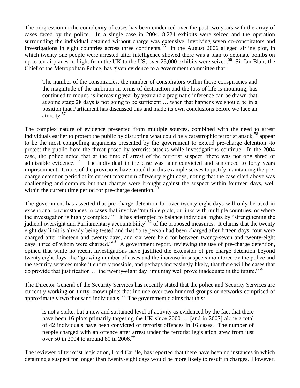The progression in the complexity of cases has been evidenced over the past two years with the array of cases faced by the police. In a single case in 2004, 8,224 exhibits were seized and the operation surrounding the individual detained without charge was extensive, involving seven co-conspirators and investigations in eight countries across three continents.<sup>55</sup> In the August 2006 alleged airline plot, in which twenty one people were arrested after intelligence showed there was a plan to detonate bombs on up to ten airplanes in flight from the UK to the US, over 25,000 exhibits were seized.<sup>56</sup> Sir Ian Blair, the Chief of the Metropolitan Police, has given evidence to a government committee that:

The number of the conspiracies, the number of conspirators within those conspiracies and the magnitude of the ambition in terms of destruction and the loss of life is mounting, has continued to mount, is increasing year by year and a pragmatic inference can be drawn that at some stage 28 days is not going to be sufficient … when that happens we should be in a position that Parliament has discussed this and made its own conclusions before we face an atrocity.<sup>57</sup>

The complex nature of evidence presented from multiple sources, combined with the need to arrest individuals earlier to protect the public by disrupting what could be a catastrophic terrorist attack,<sup>58</sup> appear to be the most compelling arguments presented by the government to extend pre-charge detention -to protect the public from the threat posed by terrorist attacks while investigations continue. In the 2004 case, the police noted that at the time of arrest of the terrorist suspect "there was not one shred of admissible evidence."<sup>59</sup> The individual in the case was later convicted and sentenced to forty years imprisonment. Critics of the provisions have noted that this example serves to justify maintaining the precharge detention period at its current maximum of twenty eight days, noting that the case cited above was challenging and complex but that charges were brought against the suspect within fourteen days, well within the current time period for pre-charge detention. $60$ 

The government has asserted that pre-charge detention for over twenty eight days will only be used in exceptional circumstances in cases that involve "multiple plots, or links with multiple countries, or where the investigation is highly complex."<sup>61</sup> It has attempted to balance individual rights by "strengthening the judicial oversight and Parliamentary accountability<sup>562</sup> of the proposed measures. It claims that the twenty eight day limit is already being tested and that "one person had been charged after fifteen days, four were charged after nineteen and twenty days, and six were held for between twenty-seven and twenty-eight days, three of whom were charged."<sup>63</sup> A government report, reviewing the use of pre-charge detention, opined that while no recent investigations have justified the extension of pre charge detention beyond twenty eight days, the "growing number of cases and the increase in suspects monitored by the police and the security services make it entirely possible, and perhaps increasingly likely, that there will be cases that do provide that justification … the twenty-eight day limit may well prove inadequate in the future."<sup>64</sup>

The Director General of the Security Services has recently stated that the police and Security Services are currently working on thirty known plots that include over two hundred groups or networks comprised of approximately two thousand individuals.<sup>65</sup> The government claims that this:

is not a spike, but a new and sustained level of activity as evidenced by the fact that there have been 16 plots primarily targeting the UK since 2000 ... [and in 2007] alone a total of 42 individuals have been convicted of terrorist offences in 16 cases. The number of people charged with an offence after arrest under the terrorist legislation grew from just over 50 in 2004 to around 80 in 2006. $^{66}$ 

The reviewer of terrorist legislation, Lord Carlile, has reported that there have been no instances in which detaining a suspect for longer than twenty-eight days would be more likely to result in charges. However,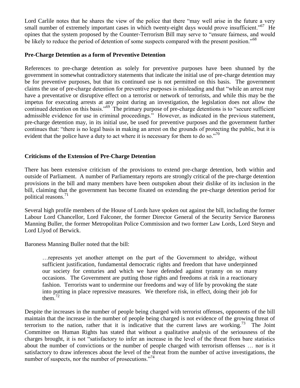Lord Carlile notes that he shares the view of the police that there "may well arise in the future a very small number of extremely important cases in which twenty-eight days would prove insufficient."<sup>67</sup> He opines that the system proposed by the Counter-Terrorism Bill may serve to "ensure fairness, and would be likely to reduce the period of detention of some suspects compared with the present position."<sup>68</sup>

### **Pre-Charge Detention as a form of Preventive Detention**

References to pre-charge detention as solely for preventive purposes have been shunned by the government in somewhat contradictory statements that indicate the initial use of pre-charge detention may be for preventive purposes, but that its continued use is not permitted on this basis. The government claims the use of pre-charge detention for preventive purposes is misleading and that "while an arrest may have a preventative or disruptive effect on a terrorist or network of terrorists, and while this may be the impetus for executing arrests at any point during an investigation, the legislation does not allow the continued detention on this basis."<sup>69</sup> The primary purpose of pre-charge detentions is to "secure sufficient admissible evidence for use in criminal proceedings." However, as indicated in the previous statement, pre-charge detention may, in its initial use, be used for preventive purposes and the government further continues that: "there is no legal basis in making an arrest on the grounds of protecting the public, but it is evident that the police have a duty to act where it is necessary for them to do so."<sup>70</sup>

### **Criticisms of the Extension of Pre-Charge Detention**

There has been extensive criticism of the provisions to extend pre-charge detention, both within and outside of Parliament. A number of Parliamentary reports are strongly critical of the pre-charge detention provisions in the bill and many members have been outspoken about their dislike of its inclusion in the bill, claiming that the government has become fixated on extending the pre-charge detention period for political reasons.<sup>71</sup>

Several high profile members of the House of Lords have spoken out against the bill, including the former Labour Lord Chancellor, Lord Falconer, the former Director General of the Security Service Baroness Manning Buller, the former Metropolitan Police Commission and two former Law Lords, Lord Steyn and Lord Llyod of Berwick.

Baroness Manning Buller noted that the bill:

…represents yet another attempt on the part of the Government to abridge, without sufficient justification, fundamental democratic rights and freedom that have underpinned our society for centuries and which we have defended against tyranny on so many occasions. The Government are putting those rights and freedoms at risk in a reactionary fashion. Terrorists want to undermine our freedoms and way of life by provoking the state into putting in place repressive measures. We therefore risk, in effect, doing their job for them. $72$ 

Despite the increases in the number of people being charged with terrorist offenses, opponents of the bill maintain that the increase in the number of people being charged is not evidence of the growing threat of terrorism to the nation, rather that it is indicative that the current laws are working.<sup>73</sup> The Joint Committee on Human Rights has stated that without a qualitative analysis of the seriousness of the charges brought, it is not "satisfactory to infer an increase in the level of the threat from bare statistics about the number of convictions or the number of people charged with terrorism offenses … nor is it satisfactory to draw inferences about the level of the threat from the number of active investigations, the number of suspects, nor the number of prosecutions."<sup>74</sup>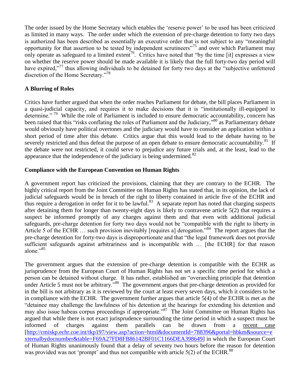The order issued by the Home Secretary which enables the 'reserve power' to be used has been criticized as limited in many ways. The order under which the extension of pre-charge detention to forty two days is authorized has been described as essentially an executive order that is not subject to any "meaningful opportunity for that assertion to be tested by independent scrutineers"<sup>75</sup> and over which Parliament may only operate as safeguard to a limited extent<sup>76</sup>. Critics have noted that "by the time [it] expresses a view on whether the reserve power should be made available it is likely that the full forty-two day period will have expired,"<sup>77</sup> thus allowing individuals to be detained for forty two days at the "subjective unfettered" discretion of the Home Secretary."<sup>78</sup>

# **A Blurring of Roles**

Critics have further argued that when the order reaches Parliament for debate, the bill places Parliament in a quasi-judicial capacity, and requires it to make decisions that it is "institutionally ill-equipped to determine."<sup>79</sup> While the role of Parliament is included to ensure democratic accountability, concern has been raised that this "risks conflating the roles of Parliament and the Judiciary,"<sup>80</sup> as Parliamentary debate would obviously have political overtones and the judiciary would have to consider an application within a short period of time after this debate. Critics argue that this would lead to the debate having to be severely restricted and thus defeat the purpose of an open debate to ensure democratic accountability.<sup>81</sup> If the debate were not restricted, it could serve to prejudice any future trials and, at the least, lead to the appearance that the independence of the judiciary is being undermined. $82$ 

# **Compliance with the European Convention on Human Rights**

A government report has criticized the provisions, claiming that they are contrary to the ECHR. The highly critical report from the Joint Committee on Human Rights has stated that, in its opinion, the lack of judicial safeguards would be in breach of the right to liberty contained in article five of the ECHR and thus require a derogation in order for it to be lawful.<sup>83</sup> A separate report has noted that charging suspects after detaining them for longer than twenty-eight days is likely to contravene article 5(2) that requires a suspect be informed promptly of any charges against them and that even with additional judicial safeguards, pre-charge detention for forty two days would not be "compatible with the right to liberty in Article 5 of the ECHR ... such provision inevitably [requires a] derogation."<sup>84</sup> The report argues that the pre-charge detention for forty-two days is disproportionate and that "the legal framework does not provide sufficient safeguards against arbitrariness and is incompatible with … [the ECHR] for that reason alone."<sup>85</sup>

The government argues that the extension of pre-charge detention is compatible with the ECHR as jurisprudence from the European Court of Human Rights has not set a specific time period for which a person can be detained without charge. It has rather, established an "overarching principle that detention under Article 5 must not be arbitrary."<sup>86</sup> The government argues that pre-charge detention as provided for in the bill is not arbitrary as it is reviewed by the court at least every seven days, which it considers to be in compliance with the ECHR. The government further argues that article 5(4) of the ECHR is met as the "detainee may challenge the lawfulness of his detention at the hearings for extending his detention and may also issue habeas corpus proceedings if appropriate."<sup>87</sup> The Joint Committee on Human Rights has argued that while there is not exact jurisprudence surrounding the time period in which a suspect must be informed of charges against them parallels can be drawn from a recent case [\[http://cmiskp.echr.coe.int/tkp197/view.asp?action=html&documentId=788396&portal=hbkm&source=e](http://cmiskp.echr.coe.int/tkp197/view.asp?action=html&documentId=788396&portal=hbkm&source=externalbydocnumber&table=F69A27FD8FB86142BF01C1166DEA398649) [xternalbydocnumber&table=F69A27FD8FB86142BF01C1166DEA398649\]](http://cmiskp.echr.coe.int/tkp197/view.asp?action=html&documentId=788396&portal=hbkm&source=externalbydocnumber&table=F69A27FD8FB86142BF01C1166DEA398649) in which the European Court of Human Rights unanimously found that a delay of seventy two hours before the reason for detention was provided was not 'prompt' and thus not compatible with article 5(2) of the ECHR.<sup>88</sup>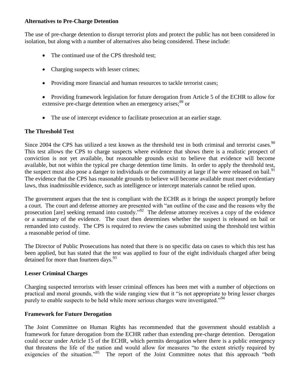# **Alternatives to Pre-Charge Detention**

The use of pre-charge detention to disrupt terrorist plots and protect the public has not been considered in isolation, but along with a number of alternatives also being considered. These include:

- The continued use of the CPS threshold test;
- Charging suspects with lesser crimes;
- Providing more financial and human resources to tackle terrorist cases;
- Providing framework legislation for future derogation from Article 5 of the ECHR to allow for extensive pre-charge detention when an emergency arises;<sup>89</sup> or
- The use of intercept evidence to facilitate prosecution at an earlier stage.

# **The Threshold Test**

Since 2004 the CPS has utilized a test known as the threshold test in both criminal and terrorist cases.  $90$ This test allows the CPS to charge suspects where evidence that shows there is a realistic prospect of conviction is not yet available, but reasonable grounds exist to believe that evidence will become available, but not within the typical pre charge detention time limits. In order to apply the threshold test, the suspect must also pose a danger to individuals or the community at large if he were released on bail.<sup>91</sup> The evidence that the CPS has reasonable grounds to believe will become available must meet evidentiary laws, thus inadmissible evidence, such as intelligence or intercept materials cannot be relied upon.

The government argues that the test is compliant with the ECHR as it brings the suspect promptly before a court. The court and defense attorney are presented with "an outline of the case and the reasons why the prosecution [are] seeking remand into custody."<sup>92</sup> The defense attorney receives a copy of the evidence or a summary of the evidence. The court then determines whether the suspect is released on bail or remanded into custody. The CPS is required to review the cases submitted using the threshold test within a reasonable period of time.

The Director of Public Prosecutions has noted that there is no specific data on cases to which this test has been applied, but has stated that the test was applied to four of the eight individuals charged after being detained for more than fourteen days. $^{93}$ 

# **Lesser Criminal Charges**

Charging suspected terrorists with lesser criminal offences has been met with a number of objections on practical and moral grounds, with the wide ranging view that it "is not appropriate to bring lesser charges purely to enable suspects to be held while more serious charges were investigated."<sup>94</sup>

# **Framework for Future Derogation**

The Joint Committee on Human Rights has recommended that the government should establish a framework for future derogation from the ECHR rather than extending pre-charge detention. Derogation could occur under Article 15 of the ECHR, which permits derogation where there is a public emergency that threatens the life of the nation and would allow for measures "to the extent strictly required by exigencies of the situation."<sup>95</sup> The report of the Joint Committee notes that this approach "both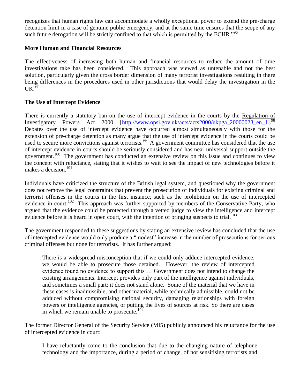recognizes that human rights law can accommodate a wholly exceptional power to extend the pre-charge detention limit in a case of genuine public emergency, and at the same time ensures that the scope of any such future derogation will be strictly confined to that which is permitted by the ECHR."<sup>96</sup>

# **More Human and Financial Resources**

The effectiveness of increasing both human and financial resources to reduce the amount of time investigations take has been considered. This approach was viewed as untenable and not the best solution, particularly given the cross border dimension of many terrorist investigations resulting in there being differences in the procedures used in other jurisdictions that would delay the investigation in the  $\mathrm{UK.}^{\mathfrak{H}}$ 

# **The Use of Intercept Evidence**

There is currently a statutory ban on the use of intercept evidence in the courts by the Regulation of Investigatory Powers Act 2000 [\[http://www.opsi.gov.uk/acts/acts2000/ukpga\\_20000023\\_en\\_1\]](http://www.opsi.gov.uk/acts/acts2000/ukpga_20000023_en_1).<sup>98</sup> Debates over the use of intercept evidence have occurred almost simultaneously with those for the extension of pre-charge detention as many argue that the use of intercept evidence in the courts could be used to secure more convictions against terrorists.<sup>99</sup> A government committee has considered that the use of intercept evidence in courts should be seriously considered and has near universal support outside the government.<sup>100</sup> The government has conducted an extensive review on this issue and continues to view the concept with reluctance, stating that it wishes to wait to see the impact of new technologies before it makes a decision.<sup>101</sup>

Individuals have criticized the structure of the British legal system, and questioned why the government does not remove the legal constraints that prevent the prosecution of individuals for existing criminal and terrorist offenses in the courts in the first instance, such as the prohibition on the use of intercepted evidence in court.<sup>102</sup> This approach was further supported by members of the Conservative Party, who argued that the evidence could be protected through a vetted judge to view the intelligence and intercept evidence before it is heard in open court, with the intention of bringing suspects to trial.<sup>103</sup>

The government responded to these suggestions by stating an extensive review has concluded that the use of intercepted evidence would only produce a "modest" increase in the number of prosecutions for serious criminal offenses but none for terrorists. It has further argued:

There is a widespread misconception that if we could only adduce intercepted evidence, we would be able to prosecute those detained. However, the review of intercepted evidence found no evidence to support this … Government does not intend to change the existing arrangements. Intercept provides only part of the intelligence against individuals, and sometimes a small part; it does not stand alone. Some of the material that we have in these cases is inadmissible, and other material, while technically admissible, could not be adduced without compromising national security, damaging relationships with foreign powers or intelligence agencies, or putting the lives of sources at risk. So there are cases in which we remain unable to prosecute.<sup>104</sup>

The former Director General of the Security Service (MI5) publicly announced his reluctance for the use of intercepted evidence in court:

I have reluctantly come to the conclusion that due to the changing nature of telephone technology and the importance, during a period of change, of not sensitising terrorists and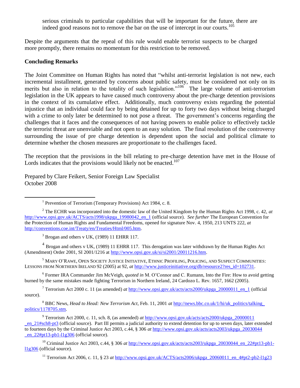serious criminals to particular capabilities that will be important for the future, there are indeed good reasons not to remove the bar on the use of intercept in our courts.<sup>105</sup>

Despite the arguments that the repeal of this rule would enable terrorist suspects to be charged more promptly, there remains no momentum for this restriction to be removed.

#### **Concluding Remarks**

The Joint Committee on Human Rights has noted that "whilst anti-terrorist legislation is not new, each incremental installment, generated by concerns about public safety, must be considered not only on its merits but also in relation to the totality of such legislation."<sup>106</sup> The large volume of anti-terrorism legislation in the UK appears to have caused much controversy about the pre-charge detention provisions in the context of its cumulative effect. Additionally, much controversy exists regarding the potential injustice that an individual could face by being detained for up to forty two days without being charged with a crime to only later be determined to not pose a threat. The government's concerns regarding the challenges that it faces and the consequences of not having powers to enable police to effectively tackle the terrorist threat are unenviable and not open to an easy solution. The final resolution of the controversy surrounding the issue of pre charge detention is dependent upon the social and political climate to determine whether the chosen measures are proportionate to the challenges faced.

The reception that the provisions in the bill relating to pre-charge detention have met in the House of Lords indicates that the provisions would likely not be enacted.<sup>107</sup>

Prepared by Clare Feikert, Senior Foreign Law Specialist October 2008

<sup>1</sup> Prevention of Terrorism (Temporary Provisions) Act 1984, c. 8.

 $3$  Brogan and others v UK, (1989) 11 EHRR 117.

 $4$  Brogan and others v UK, (1989) 11 EHRR 117. This derogation was later withdrawn by the Human Rights Act (Amendment) Order 2001, SI 2001/1216 at [http://www.opsi.gov.uk/si/si2001/20011216.htm.](http://www.opsi.gov.uk/si/si2001/20011216.htm)

5 MARY O'RAWE, OPEN SOCIETY JUSTICE INITIATIVE, ETHNIC PROFILING, POLICING, AND SUSPECT COMMUNITIES: LESSONS FROM NORTHERN IRELAND 92 (2005) at 92, *at* [http://www.justiceinitiative.org/db/resource2?res\\_id=102731.](http://www.justiceinitiative.org/db/resource2?res_id=102731)

6 Former IRA Commander Jim McVeigh, *quoted in* M. O'Connor and C. Rumann, Into the Fire: How to avoid getting burned by the same mistakes made fighting Terrorism in Northern Ireland, 24 Cardozo L. Rev. 1657, 1662 (2005).

<sup>7</sup> Terrorism Act 2000 c. 11 (as amended) *at* [http://www.opsi.gov.uk/acts/acts2000/ukpga\\_20000011\\_en\\_1 \(](http://www.opsi.gov.uk/acts/acts2000/ukpga_20000011_en_1)official source).

8 BBC News, *Head to Head: New Terrorism Act*, Feb. 11, 2001 *at* [http://news.bbc.co.uk/1/hi/uk\\_politics/talking\\_](http://news.bbc.co.uk/1/hi/uk_politics/talking_politics/1178705.stm)  [politics/1178705.stm.](http://news.bbc.co.uk/1/hi/uk_politics/talking_politics/1178705.stm) 

<sup>9</sup> Terrorism Act 2000, c. 11, sch. 8, (as amended) *at* http://www.opsi.gov.uk/acts/acts2000/ukpga\_20000011 [\\_en\\_21#sch8-pt3 \(](http://www.opsi.gov.uk/acts/acts2000/ukpga_20000011_en_21#sch8-pt3)official source). Part III permits a judicial authority to extend detention for up to seven days, later extended to fourteen days by the Criminal Justice Act 2003, c.44, § 306 *at* [http://www.opsi.gov.uk/acts/acts2003/ukpga\\_20030044](http://www.opsi.gov.uk/acts/acts2003/ukpga_20030044_en_22#pt13-pb1-l1g306)  en  $22#pt13-pb1-l1g306$  (official source).

<sup>10</sup> Criminal Justice Act 2003, c.44, § 306 *at* [http://www.opsi.gov.uk/acts/acts2003/ukpga\\_20030044\\_en\\_22#pt13-pb1](http://www.opsi.gov.uk/acts/acts2003/ukpga_20030044_en_22#pt13-pb1-l1g306) [l1g306](http://www.opsi.gov.uk/acts/acts2003/ukpga_20030044_en_22#pt13-pb1-l1g306) (official source).

<sup>11</sup> Terrorism Act 2006, c. 11, § 23 *at* [http://www.opsi.gov.uk/ACTS/acts2006/ukpga\\_20060011\\_en\\_4#pt2-pb2-l1g23](http://www.opsi.gov.uk/ACTS/acts2006/ukpga_20060011_en_4#pt2-pb2-l1g23)

<sup>2</sup> The ECHR was incorporated into the domestic law of the United Kingdom by the Human Rights Act 1998, c. 42, *at*  [http://www.opsi.gov.uk/ACTS/acts1998/ukpga\\_19980042\\_en\\_1 \(](http://www.opsi.gov.uk/ACTS/acts1998/ukpga_19980042_en_1)official source). *See further* The European Convention for the Protection of Human Rights and Fundamental Freedoms, opened for signature Nov. 4, 1950, 213 UNTS 222, *at* [http://conventions.coe.int/Treaty/en/Treaties/Html/005.htm.](http://conventions.coe.int/Treaty/en/Treaties/Html/005.htm)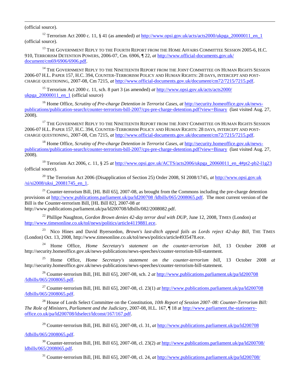(official source).

 $\overline{a}$ 

<sup>12</sup> Terrorism Act 2000 c. 11, § 41 (as amended) *at* [http://www.opsi.gov.uk/acts/acts2000/ukpga\\_20000011\\_en\\_1](http://www.opsi.gov.uk/acts/acts2000/ukpga_20000011_en_1) (official source).

<sup>13</sup> THE GOVERNMENT REPLY TO THE FOURTH REPORT FROM THE HOME AFFAIRS COMMITTEE SESSION 2005-6, H.C. 910, TERRORISM DETENTION POWERS, 2006-07, Cm. 6906, ¶ 22, *at* [http://www.official-documents.gov.uk/](http://www.official-documents.gov.uk/document/cm69/6906/6906.pdf)  [document/cm69/6906/6906.pdf.](http://www.official-documents.gov.uk/document/cm69/6906/6906.pdf)

<sup>14</sup> THE GOVERNMENT REPLY TO THE NINETEENTH REPORT FROM THE JOINT COMMITTEE ON HUMAN RIGHTS SESSION 2006-07 H.L. PAPER 157, H.C. 394, COUNTER-TERRORISM POLICY AND HUMAN RIGHTS: 28 DAYS, INTERCEPT AND POST-CHARGE QUESTIONING, 2007-08, Cm 7215, *at* [http://www.official-documents.gov.uk/document/cm72/7215/7215.pdf.](http://www.official-documents.gov.uk/document/cm72/7215/7215.pdf)

<sup>15</sup> Terrorism Act 2000 c. 11, sch. 8 part 3 (as amended) *at* [http://www.opsi.gov.uk/acts/acts2000/](http://www.opsi.gov.uk/acts/acts2000/ukpga_20000011_en_1)  ukpga  $20000011$  en 1 (official source)

<sup>16</sup> Home Office, *Scrutiny of Pre-charge Detention in Terrorist Cases*, *at* [http://security.homeoffice.gov.uk/news](http://security.homeoffice.gov.uk/news-publications/publication-search/counter-terrorism-bill-2007/cps-pre-charge-detention.pdf?view=Binary)[publications/publication-search/counter-terrorism-bill-2007/cps-pre-charge-detention.pdf?view=Binary](http://security.homeoffice.gov.uk/news-publications/publication-search/counter-terrorism-bill-2007/cps-pre-charge-detention.pdf?view=Binary) (last visited Aug. 27, 2008).

<sup>17</sup> THE GOVERNMENT REPLY TO THE NINETEENTH REPORT FROM THE JOINT COMMITTEE ON HUMAN RIGHTS SESSION 2006-07 H.L. PAPER 157, H.C. 394, COUNTER-TERRORISM POLICY AND HUMAN RIGHTS: 28 DAYS, INTERCEPT AND POST-CHARGE QUESTIONING, 2007-08, Cm 7215, *at* [http://www.official-documents.gov.uk/document/cm72/7215/7215.pdf.](http://www.official-documents.gov.uk/document/cm72/7215/7215.pdf)

<sup>18</sup> Home Office, *Scrutiny of Pre-charge Detention in Terrorist Cases*, *at* [http://security.homeoffice.gov.uk/news](http://security.homeoffice.gov.uk/news-publications/publication-search/counter-terrorism-bill-2007/cps-pre-charge-detention.pdf?view=Binary)[publications/publication-search/counter-terrorism-bill-2007/cps-pre-charge-detention.pdf?view=Binary](http://security.homeoffice.gov.uk/news-publications/publication-search/counter-terrorism-bill-2007/cps-pre-charge-detention.pdf?view=Binary) (last visited Aug. 27, 2008).

<sup>19</sup> Terrorism Act 2006, c. 11, § 25 *at* [http://www.opsi.gov.uk/ACTS/acts2006/ukpga\\_20060011\\_en\\_4#pt2-pb2-l1g23](http://www.opsi.gov.uk/ACTS/acts2006/ukpga_20060011_en_4#pt2-pb2-l1g23) (official source).

<sup>20</sup> The Terrorism Act 2006 (Disapplication of Section 25) Order 2008, SI 2008/1745, *at* [http://www.opsi.gov.uk](http://www.opsi.gov.uk/si/si2008/uksi_20081745_en_1)  [/si/si2008/uksi\\_20081745\\_en\\_1.](http://www.opsi.gov.uk/si/si2008/uksi_20081745_en_1)

<sup>21</sup> Counter-terrorism Bill, [HL Bill 65], 2007-08, as brought from the Commons including the pre-charge detention provisions *at* [http://www.publications.parliament.uk/pa/ld200708 /ldbills/065/2008065.pdf.](http://www.publications.parliament.uk/pa/ld200708/ldbills/065/2008065.pdf) The most current version of the Bill is the Counter-terrorism Bill, [HL Bill 82], 2007-08 *at*

http://www.publications.parliament.uk/pa/ld200708/ldbills/082/2008082.pdf.

<sup>22</sup> Phillipe Naughton, *Gordon Brown denies 42-day terror deal with DUP*, June 12, 2008, TIMES (London) *at* [http://www.timesonline.co.uk/tol/news/politics/article4119881.ece.](http://www.timesonline.co.uk/tol/news/politics/article4119881.ece)

<sup>23</sup> Nico Hines and David Byersordon, *Brown's last-ditch appeal fails as Lords reject 42-day Bill*, THE TIMES (London) Oct. 13, 2008, http://www.timesonline.co.uk/tol/news/politics/article4935478.ece.

<sup>24</sup> Home Office, *Home Secretary's statement on the counter-terrorism bill,* 13 October 2008 *at* http://security.homeoffice.gov.uk/news-publications/news-speeches/counter-terrorism-bill-statement.

<sup>25</sup> Home Office, *Home Secretary's statement on the counter-terrorism bill,* 13 October 2008 *at* http://security.homeoffice.gov.uk/news-publications/news-speeches/counter-terrorism-bill-statement.

<sup>26</sup> Counter-terrorism Bill, [HL Bill 65], 2007-08, sch. 2 *at* [http://www.publications.parliament.uk/pa/ld200708](http://www.publications.parliament.uk/pa/ld200708/ldbills/065/2008065.pdf)  [/ldbills/065/2008065.pdf.](http://www.publications.parliament.uk/pa/ld200708/ldbills/065/2008065.pdf)

<sup>27</sup> Counter-terrorism Bill, [HL Bill 65], 2007-08, cl. 23(1) *at* [http://www.publications.parliament.uk/pa/ld200708](http://www.publications.parliament.uk/pa/ld200708/ldbills/065/2008065.pdf)  [/ldbills/065/2008065.pdf.](http://www.publications.parliament.uk/pa/ld200708/ldbills/065/2008065.pdf)

<sup>28</sup> House of Lords Select Committee on the Constitution, *10th Report of Session 2007–08: Counter-Terrorism Bill: The Role of Ministers, Parliament and the Judiciary*, 2007-08, H.L. 167, ¶ 18 a[t http://www.parliament.the-stationery](http://www.parliament.the-stationery-office.co.uk/pa/ld200708/ldselect/ldconst/167/167.pdf)[office.co.uk/pa/ld200708/ldselect/ldconst/167/167.pdf.](http://www.parliament.the-stationery-office.co.uk/pa/ld200708/ldselect/ldconst/167/167.pdf) 

<sup>29</sup> Counter-terrorism Bill, [HL Bill 65], 2007-08, cl. 31, *at* [http://www.publications.parliament.uk/pa/ld200708](http://www.publications.parliament.uk/pa/ld200708/ldbills/065/2008065.pdf) 

#### [/ldbills/065/2008065.pdf.](http://www.publications.parliament.uk/pa/ld200708/ldbills/065/2008065.pdf)

<sup>30</sup> Counter-terrorism Bill, [HL Bill 65], 2007-08, cl. 23(2) *at* [http://www.publications.parliament.uk/pa/ld200708/](http://www.publications.parliament.uk/pa/ld200708/ldbills/065/2008065.pdf)  [ldbills/065/2008065.pdf.](http://www.publications.parliament.uk/pa/ld200708/ldbills/065/2008065.pdf)

<sup>31</sup> Counter-terrorism Bill, [HL Bill 65], 2007-08, cl. 24, *at* [http://www.publications.parliament.uk/pa/ld200708/](http://www.publications.parliament.uk/pa/ld200708/ldbills/065/2008065.pdf)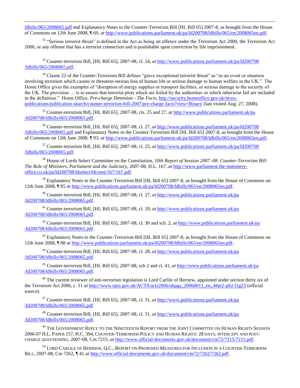[ldbills/065/2008065.pdf](http://www.publications.parliament.uk/pa/ld200708/ldbills/065/2008065.pdf) and Explanatory Notes to the Counter-Terrorism Bill [HL Bill 65] 2007-8, as brought from the House of Commons on 12th June 2008, ¶ 69, *at* [http://www.publications.parliament.uk/pa/ld200708/ldbills/065/en/2008065en.pdf.](http://www.publications.parliament.uk/pa/ld200708/ldbills/065/en/2008065en.pdf)

 $32$  "Serious terrorist threat" is defined in the Act as being an offence under the Terrorism Act 2000, the Terrorism Act 2006, or any offense that has a terrorist connection and is punishable upon conviction by life imprisonment.

<sup>33</sup> Counter-terrorism Bill, [HL Bill 65], 2007-08, cl. 24, *at* [http://www.publications.parliament.uk/pa/ld200708](http://www.publications.parliament.uk/pa/ld200708/ldbills/065/2008065.pdf)  [/ldbills/065/2008065.pdf.](http://www.publications.parliament.uk/pa/ld200708/ldbills/065/2008065.pdf)

<sup>34</sup> Clause 22 of the Counter-Terrorism Bill defines "grave exceptional terrorist threat" as "as an event or situation involving terrorism which causes or threatens serious loss of human life or serious damage to human welfare in the UK." The Home Office gives the examples of "disruption of energy supplies or transport facilities, or serious damage to the security of the UK. The provision … is to ensure that terrorist plots which are foiled by the authorities or which otherwise fail are included in the definition." Home Office, *Pre-charge Detention - The Facts*, [http://security.homeoffice.gov.uk/news](http://security.homeoffice.gov.uk/news-publications/publication-search/counter-terrorism-bill-2007/pre-charge-facts?view=Binary)[publications/publication-search/counter-terrorism-bill-2007/pre-charge-facts?view=Binary](http://security.homeoffice.gov.uk/news-publications/publication-search/counter-terrorism-bill-2007/pre-charge-facts?view=Binary) (last visited Aug. 27, 2008).

<sup>35</sup> Counter-terrorism Bill, [HL Bill 65], 2007-08, cls. 25 and 27, *at* [http://www.publications.parliament.uk/pa](http://www.publications.parliament.uk/pa/ld200708/ldbills/065/2008065.pdf)  [/ld200708/ldbills/065/2008065.pdf.](http://www.publications.parliament.uk/pa/ld200708/ldbills/065/2008065.pdf)

<sup>36</sup> Counter-terrorism Bill, [HL Bill 65], 2007-08, cl. 27, *at* [http://www.publications.parliament.uk/pa/ld200708](http://www.publications.parliament.uk/pa/ld200708/ldbills/065/2008065.pdf)  [/ldbills/065/2008065.pdf](http://www.publications.parliament.uk/pa/ld200708/ldbills/065/2008065.pdf) and Explanatory Notes to the Counter-Terrorism Bill [HL Bill 65] 2007-8, as brought from the House of Commons on 12th June 2008, ¶ 93, *at* [http://www.publications.parliament.uk/pa/ld200708/ldbills/065/en/2008065en.pdf.](http://www.publications.parliament.uk/pa/ld200708/ldbills/065/en/2008065en.pdf)

<sup>37</sup> Counter-terrorism Bill, [HL Bill 65], 2007-08, cl. 25, *at* [http://www.publications.parliament.uk/pa/ld200708](http://www.publications.parliament.uk/pa/ld200708/ldbills/065/2008065.pdf)  [/ldbills/065/2008065.pdf.](http://www.publications.parliament.uk/pa/ld200708/ldbills/065/2008065.pdf)

<sup>38</sup> House of Lords Select Committee on the Constitution, *10th Report of Session 2007–08: Counter-Terrorism Bill: The Role of Ministers, Parliament and the Judiciary*, 2007-08, H.L. 167, *at* [http://www.parliament.the-stationery](http://www.parliament.the-stationery-office.co.uk/pa/ld200708/ldselect/ldconst/167/167.pdf)[office.co.uk/pa/ld200708/ldselect/ldconst/167/167.pdf.](http://www.parliament.the-stationery-office.co.uk/pa/ld200708/ldselect/ldconst/167/167.pdf) 

<sup>39</sup> Explanatory Notes to the Counter-Terrorism Bill [HL Bill 65] 2007-8, as brought from the House of Commons on 12th June 2008, ¶ 85 *at* [http://www.publications.parliament.uk/pa/ld200708/ldbills/065/en/2008065en.pdf.](http://www.publications.parliament.uk/pa/ld200708/ldbills/065/en/2008065en.pdf)

<sup>40</sup> Counter-terrorism Bill, [HL Bill 65], 2007-08, cl. 27, *at* [http://www.publications.parliament.uk/pa](http://www.publications.parliament.uk/pa/ld200708/ldbills/065/2008065.pdf)  [/ld200708/ldbills/065/2008065.pdf.](http://www.publications.parliament.uk/pa/ld200708/ldbills/065/2008065.pdf)

<sup>41</sup> Counter-terrorism Bill, [HL Bill 65], 2007-08, cl. 29, *at* [http://www.publications.parliament.uk/pa](http://www.publications.parliament.uk/pa/ld200708/ldbills/065/2008065.pdf)  [/ld200708/ldbills/065/2008065.pdf.](http://www.publications.parliament.uk/pa/ld200708/ldbills/065/2008065.pdf)

<sup>42</sup> Counter-terrorism Bill, [HL Bill 65], 2007-08, cl. 30 and sch. 2, *at* [http://www.publications.parliament.uk/pa](http://www.publications.parliament.uk/pa/ld200708/ldbills/065/2008065.pdf)  [/ld200708/ldbills/065/2008065.pdf.](http://www.publications.parliament.uk/pa/ld200708/ldbills/065/2008065.pdf)

<sup>43</sup> Explanatory Notes to the Counter-Terrorism Bill [HL Bill 65] 2007-8, as brought from the House of Commons on 12th June 2008, ¶ 88 *at* [http://www.publications.parliament.uk/pa/ld200708/ldbills/065/en/2008065en.pdf.](http://www.publications.parliament.uk/pa/ld200708/ldbills/065/en/2008065en.pdf)

<sup>44</sup> Counter-terrorism Bill, [HL Bill 65], 2007-08, cl. 28, *at* [http://www.publications.parliament.uk/pa](http://www.publications.parliament.uk/pa/ld200708/ldbills/065/2008065.pdf)  [/ld200708/ldbills/065/2008065.pdf.](http://www.publications.parliament.uk/pa/ld200708/ldbills/065/2008065.pdf)

<sup>45</sup> Counter-terrorism Bill, [HL Bill 65], 2007-08, sch 2 and cl. 41, *at* [http://www.publications.parliament.uk/pa](http://www.publications.parliament.uk/pa/ld200708/ldbills/065/2008065.pdf)  [/ld200708/ldbills/065/2008065.pdf.](http://www.publications.parliament.uk/pa/ld200708/ldbills/065/2008065.pdf)

<sup>46</sup> The current reviewer of anti-terrorism legislation is Lord Carlile of Berriew, appointed under section thirty six of the Terrorism Act 2006, c. 11 *at* [http://www.opsi.gov.uk/ACTS/acts2006/ukpga\\_20060011\\_en\\_4#pt2-pb2-l1g23](http://www.opsi.gov.uk/ACTS/acts2006/ukpga_20060011_en_4#pt2-pb2-l1g23) (official source).

<sup>47</sup> Counter-terrorism Bill, [HL Bill 65], 2007-08, cl. 31, *at* [http://www.publications.parliament.uk/pa](http://www.publications.parliament.uk/pa/ld200708/ldbills/065/2008065.pdf)  [/ld200708/ldbills/065/2008065.pdf.](http://www.publications.parliament.uk/pa/ld200708/ldbills/065/2008065.pdf)

<sup>48</sup> Counter-terrorism Bill, [HL Bill 65], 2007-08, cl. 31, *at* [http://www.publications.parliament.uk/pa](http://www.publications.parliament.uk/pa/ld200708/ldbills/065/2008065.pdf)  [/ld200708/ldbills/065/2008065.pdf.](http://www.publications.parliament.uk/pa/ld200708/ldbills/065/2008065.pdf)

<sup>49</sup> THE GOVERNMENT REPLY TO THE NINETEENTH REPORT FROM THE JOINT COMMITTEE ON HUMAN RIGHTS SESSION 2006-07 H.L. PAPER 157, H.C. 394, COUNTER-TERRORISM POLICY AND HUMAN RIGHTS: 28 DAYS, INTERCEPT AND POST-CHARGE QUESTIONING, 2007-08, Cm 7215, *at* [http://www.official-documents.gov.uk/document/cm72/7215/7215.pdf.](http://www.official-documents.gov.uk/document/cm72/7215/7215.pdf)

<sup>50</sup> LORD CARLILE OF BERRIEW, Q.C., REPORT ON PROPOSED MEASURES FOR INCLUSION IN A COUNTER-TERRORISM BILL, 2007-08, Cm 7262, ¶ 41 *at* [http://www.official-documents.gov.uk/document/cm72/7262/7262.pdf.](http://www.official-documents.gov.uk/document/cm72/7262/7262.pdf)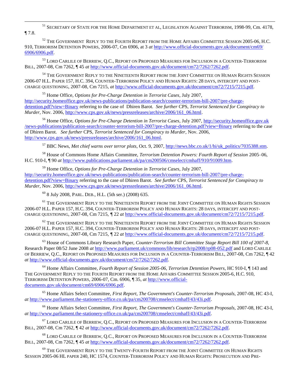<sup>51</sup> SECRETARY OF STATE FOR THE HOME DEPARTMENT ET AL, LEGISLATION AGAINST TERRORISM, 1998-99, Cm. 4178, ¶ 7.8.

<sup>52</sup> THE GOVERNMENT REPLY TO THE FOURTH REPORT FROM THE HOME AFFAIRS COMMITTEE SESSION 2005-06, H.C. 910, TERRORISM DETENTION POWERS, 2006-07, Cm 6906, at 3 *at* [http://www.official-documents.gov.uk/document/cm69/](http://www.official-documents.gov.uk/document/cm69/6906/6906.pdf)  [6906/6906.pdf.](http://www.official-documents.gov.uk/document/cm69/6906/6906.pdf)

53 LORD CARLILE OF BERRIEW, O.C., REPORT ON PROPOSED MEASURES FOR INCLUSION IN A COUNTER-TERRORISM BILL, 2007-08, Cm 7262, ¶ 45 *at* [http://www.official-documents.gov.uk/document/cm72/7262/7262.pdf.](http://www.official-documents.gov.uk/document/cm72/7262/7262.pdf)

<sup>54</sup> THE GOVERNMENT REPLY TO THE NINETEENTH REPORT FROM THE JOINT COMMITTEE ON HUMAN RIGHTS SESSION 2006-07 H.L. PAPER 157, H.C. 394, COUNTER-TERRORISM POLICY AND HUMAN RIGHTS: 28 DAYS, INTERCEPT AND POST-CHARGE QUESTIONING, 2007-08, Cm 7215, *at* [http://www.official-documents.gov.uk/document/cm72/7215/7215.pdf.](http://www.official-documents.gov.uk/document/cm72/7215/7215.pdf)

<sup>55</sup> Home Office, *Options for Pre-Charge Detention in Terrorist Cases*, July 2007, [http://security.homeoffice.gov.uk/news-publications/publication-search/counter-terrorism-bill-2007/pre-charge](http://security.homeoffice.gov.uk/news-publications/publication-search/counter-terrorism-bill-2007/pre-charge-detention.pdf?view=Binary)[detention.pdf?view=Binary](http://security.homeoffice.gov.uk/news-publications/publication-search/counter-terrorism-bill-2007/pre-charge-detention.pdf?view=Binary) referring to the case of Dhiren Barot. *See further* CPS, *Terrorist Sentenced for Conspiracy to Murder*, Nov. 2006, [http://www.cps.gov.uk/news/pressreleases/archive/2006/161\\_06.html.](http://www.cps.gov.uk/news/pressreleases/archive/2006/161_06.html)

<sup>56</sup> Home Office, *Options for Pre-Charge Detention in Terrorist Cases*, July 2007, [http://security.homeoffice.gov.uk](http://security.homeoffice.gov.uk/news-publications/publication-search/counter-terrorism-bill-2007/pre-charge-detention.pdf?view=Binary)  [/news-publications/publication-search/counter-terrorism-bill-2007/pre-charge-detention.pdf?view=Binary](http://security.homeoffice.gov.uk/news-publications/publication-search/counter-terrorism-bill-2007/pre-charge-detention.pdf?view=Binary) referring to the case of Dhiren Barot. *See further* CPS, *Terrorist Sentenced for Conspiracy to Murder*, Nov. 2006, [http://www.cps.gov.uk/news/pressreleases/archive/2006/161\\_06.html.](http://www.cps.gov.uk/news/pressreleases/archive/2006/161_06.html)

<sup>57</sup> BBC News, *Met chief warns over terror plots*, Oct. 9, 2007, [http://news.bbc.co.uk/1/hi/uk\\_politics/7035388.stm.](http://news.bbc.co.uk/1/hi/uk_politics/7035388.stm) 

<sup>58</sup> House of Commons Home Affairs Committee, *Terrorism Detention Powers: Fourth Report of Session* 2005–06, H.C. 910-I, ¶ 90 *at* [http://www.publications.parliament.uk/pa/cm200506/cmselect/cmhaff/910/91009.htm.](http://www.publications.parliament.uk/pa/cm200506/cmselect/cmhaff/910/91009.htm)

<sup>59</sup> Home Office, *Options for Pre-Charge Detention in Terrorist Cases*, July 2007, [http://security.homeoffice.gov.uk/news-publications/publication-search/counter-terrorism-bill-2007/pre-charge](http://security.homeoffice.gov.uk/news-publications/publication-search/counter-terrorism-bill-2007/pre-charge-detention.pdf?view=Binary)[detention.pdf?view=Binary](http://security.homeoffice.gov.uk/news-publications/publication-search/counter-terrorism-bill-2007/pre-charge-detention.pdf?view=Binary) referring to the case of Dhiren Barot. *See further* CPS, *Terrorist Sentenced for Conspiracy to Murder*, Nov. 2006, [http://www.cps.gov.uk/news/pressreleases/archive/2006/161\\_06.html.](http://www.cps.gov.uk/news/pressreleases/archive/2006/161_06.html)

<sup>60</sup> 8 July 2008, PARL. DEB., H.L. (5th ser.) (2008) 635.

 $^{61}$  The Government Reply to the Nineteenth Report from the Joint Committee on Human Rights Session 2006-07 H.L. PAPER 157, H.C. 394, COUNTER-TERRORISM POLICY AND HUMAN RIGHTS: 28 DAYS, INTERCEPT AND POST-CHARGE QUESTIONING, 2007-08, Cm 7215, *¶* 22 *at* [http://www.official-documents.gov.uk/document/cm72/7215/7215.pdf.](http://www.official-documents.gov.uk/document/cm72/7215/7215.pdf)

 $^{62}$  The GOVERNMENT REPLY TO THE NINETEENTH REPORT FROM THE JOINT COMMITTEE ON HUMAN RIGHTS SESSION 2006-07 H.L. PAPER 157, H.C. 394, COUNTER-TERRORISM POLICY AND HUMAN RIGHTS: 28 DAYS, INTERCEPT AND POST-CHARGE QUESTIONING, 2007-08, Cm 7215, *¶* 22 *at* [http://www.official-documents.gov.uk/document/cm72/7215/7215.pdf.](http://www.official-documents.gov.uk/document/cm72/7215/7215.pdf)

<sup>63</sup> House of Commons Library Research Paper, *Counter-Terrorism Bill Committee Stage Report Bill 100 of 2007-8*, Research Paper 08/52 June 2008 *at* <http://www.parliament.uk/commons/lib/research/rp2008/rp08-052.pdf>and LORD CARLILE OF BERRIEW, Q.C., REPORT ON PROPOSED MEASURES FOR INCLUSION IN A COUNTER-TERRORISM BILL, 2007-08, Cm 7262, ¶ 42 *at* [http://www.official-documents.gov.uk/document/cm72/7262/7262.pdf.](http://www.official-documents.gov.uk/document/cm72/7262/7262.pdf)

<sup>64</sup> Home Affairs Committee, *Fourth Report of Session 2005-06, Terrorism Detention Powers*, HC 910-I, ¶ 143 and THE GOVERNMENT REPLY TO THE FOURTH REPORT FROM THE HOME AFFAIRS COMMITTEE SESSION 2005-6, H.C. 910, TERRORISM DETENTION POWERS, 2006-07, Cm. 6906, ¶ 35, *at* [http://www.official](http://www.official-documents.gov.uk/document/cm69/6906/6906.pdf)[documents.gov.uk/document/cm69/6906/6906.pdf.](http://www.official-documents.gov.uk/document/cm69/6906/6906.pdf) 

<sup>65</sup> Home Affairs Select Committee, *First Report, The Government's Counter-Terrorism Proposals,* 2007-08, HC 43-I, *at* [http://www.parliament.the-stationery-office.co.uk/pa/cm200708/cmselect/cmhaff/43/43i.pdf.](http://www.parliament.the-stationery-office.co.uk/pa/cm200708/cmselect/cmhaff/43/43i.pdf) 

<sup>66</sup> Home Affairs Select Committee, *First Report, The Government's Counter-Terrorism Proposals,* 2007-08, HC 43-I, *at* [http://www.parliament.the-stationery-office.co.uk/pa/cm200708/cmselect/cmhaff/43/43i.pdf.](http://www.parliament.the-stationery-office.co.uk/pa/cm200708/cmselect/cmhaff/43/43i.pdf) 

<sup>67</sup> LORD CARLILE OF BERRIEW, Q.C., REPORT ON PROPOSED MEASURES FOR INCLUSION IN A COUNTER-TERRORISM BILL, 2007-08, Cm 7262, ¶ 42 *at* [http://www.official-documents.gov.uk/document/cm72/7262/7262.pdf.](http://www.official-documents.gov.uk/document/cm72/7262/7262.pdf)

<sup>68</sup> LORD CARLILE OF BERRIEW, Q.C., REPORT ON PROPOSED MEASURES FOR INCLUSION IN A COUNTER-TERRORISM BILL, 2007-08, Cm 7262, ¶ 45 *at* [http://www.official-documents.gov.uk/document/cm72/7262/7262.pdf.](http://www.official-documents.gov.uk/document/cm72/7262/7262.pdf)

<sup>69</sup> THE GOVERNMENT REPLY TO THE TWENTY-FOURTH REPORT FROM THE JOINT COMMITTEE ON HUMAN RIGHTS SESSION 2005-06 HL PAPER 240, HC 1574, COUNTER-TERRORISM POLICY AND HUMAN RIGHTS: PROSECUTION AND PRE-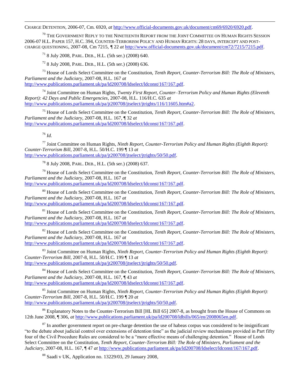CHARGE DETENTION, 2006-07, Cm. 6920, *at* [http://www.official-documents.gov.uk/document/cm69/6920/6920.pdf.](http://www.official-documents.gov.uk/document/cm69/6920/6920.pdf)

 $^{70}$  The Government Reply to the Nineteenth Report from the Joint Committee on Human Rights Session 2006-07 H.L. PAPER 157, H.C. 394, COUNTER-TERRORISM POLICY AND HUMAN RIGHTS: 28 DAYS, INTERCEPT AND POST-CHARGE QUESTIONING, 2007-08, Cm 7215, *¶* 22 *at* [http://www.official-documents.gov.uk/document/cm72/7215/7215.pdf.](http://www.official-documents.gov.uk/document/cm72/7215/7215.pdf)

<sup>71</sup> 8 July 2008, PARL. DEB., H.L. (5th ser.) (2008) 640.

<sup>72</sup> 8 July 2008, PARL. DEB., H.L. (5th ser.) (2008) 636.

<sup>73</sup> House of Lords Select Committee on the Constitution, *Tenth Report, Counter-Terrorism Bill: The Role of Ministers, Parliament and the Judiciary*, 2007-08, H.L. 167 *at* [http://www.publications.parliament.uk/pa/ld200708/ldselect/ldconst/167/167.pdf.](http://www.publications.parliament.uk/pa/ld200708/ldselect/ldconst/167/167.pdf)

<sup>74</sup> Joint Committee on Human Rights, *Twenty First Report, Counter–Terrorism Policy and Human Rights (Eleventh Report): 42 Days and Public Emergencies*, 2007-08, H.L. 116/H.C. 635 *at* http://www.publications.parliament.uk/pa/it200708/itselect/itrights/116/11605.htm#a2.

<sup>75</sup> House of Lords Select Committee on the Constitution, *Tenth Report, Counter-Terrorism Bill: The Role of Ministers, Parliament and the Judiciary*, 2007-08, H.L. 167, ¶ 32 *at* [http://www.publications.parliament.uk/pa/ld200708/ldselect/ldconst/167/167.pdf.](http://www.publications.parliament.uk/pa/ld200708/ldselect/ldconst/167/167.pdf)

<sup>76</sup> *Id.* 

<sup>77</sup> Joint Committee on Human Rights, *Ninth Report, Counter-Terrorism Policy and Human Rights (Eighth Report): Counter-Terrorism Bill*, 2007-8, H.L. 50/H.C. 199 ¶ 13 *at* [http://www.publications.parliament.uk/pa/jt200708/jtselect/jtrights/50/50.pdf.](http://www.publications.parliament.uk/pa/jt200708/jtselect/jtrights/50/50.pdf) 

<sup>78</sup> 8 July 2008, PARL. DEB., H.L. (5th ser.) (2008) 637.

<sup>79</sup> House of Lords Select Committee on the Constitution, *Tenth Report, Counter-Terrorism Bill: The Role of Ministers, Parliament and the Judiciary*, 2007-08, H.L. 167 *at* [http://www.publications.parliament.uk/pa/ld200708/ldselect/ldconst/167/167.pdf.](http://www.publications.parliament.uk/pa/ld200708/ldselect/ldconst/167/167.pdf)

<sup>80</sup> House of Lords Select Committee on the Constitution, *Tenth Report, Counter-Terrorism Bill: The Role of Ministers, Parliament and the Judiciary*, 2007-08, H.L. 167 *at* [http://www.publications.parliament.uk/pa/ld200708/ldselect/ldconst/167/167.pdf.](http://www.publications.parliament.uk/pa/ld200708/ldselect/ldconst/167/167.pdf)

<sup>81</sup> House of Lords Select Committee on the Constitution, *Tenth Report, Counter-Terrorism Bill: The Role of Ministers, Parliament and the Judiciary*, 2007-08, H.L. 167 *at* [http://www.publications.parliament.uk/pa/ld200708/ldselect/ldconst/167/167.pdf.](http://www.publications.parliament.uk/pa/ld200708/ldselect/ldconst/167/167.pdf)

<sup>82</sup> House of Lords Select Committee on the Constitution, *Tenth Report, Counter-Terrorism Bill: The Role of Ministers, Parliament and the Judiciary*, 2007-08, H.L. 167 *at* [http://www.publications.parliament.uk/pa/ld200708/ldselect/ldconst/167/167.pdf.](http://www.publications.parliament.uk/pa/ld200708/ldselect/ldconst/167/167.pdf)

<sup>83</sup> Joint Committee on Human Rights, *Ninth Report, Counter-Terrorism Policy and Human Rights (Eighth Report): Counter-Terrorism Bill*, 2007-8, H.L. 50/H.C. 199 ¶ 13 *at* [http://www.publications.parliament.uk/pa/jt200708/jtselect/jtrights/50/50.pdf.](http://www.publications.parliament.uk/pa/jt200708/jtselect/jtrights/50/50.pdf) 

<sup>84</sup> House of Lords Select Committee on the Constitution, *Tenth Report, Counter-Terrorism Bill: The Role of Ministers, Parliament and the Judiciary*, 2007-08, H.L. 167, ¶ 43 *at* [http://www.publications.parliament.uk/pa/ld200708/ldselect/ldconst/167/167.pdf.](http://www.publications.parliament.uk/pa/ld200708/ldselect/ldconst/167/167.pdf)

<sup>85</sup> Joint Committee on Human Rights, *Ninth Report, Counter-Terrorism Policy and Human Rights (Eighth Report): Counter-Terrorism Bill*, 2007-8, H.L. 50/H.C. 199 ¶ 20 *at* http://www.publications.parliament.uk/pa/it200708/itselect/itrights/50/50.pdf.

<sup>86</sup> Explanatory Notes to the Counter-Terrorism Bill [HL Bill 65] 2007-8, as brought from the House of Commons on 12th June 2008, ¶ 306, *at* [http://www.publications.parliament.uk/pa/ld200708/ldbills/065/en/2008065en.pdf.](http://www.publications.parliament.uk/pa/ld200708/ldbills/065/en/2008065en.pdf)

 $87$  In another government report on pre-charge detention the use of habeas corpus was considered to be insignificant "to the debate about judicial control over extensions of detention time" as the judicial review mechanisms provided in Part fifty four of the Civil Procedure Rules are considered to be a "more effective means of challenging detention." House of Lords Select Committee on the Constitution, *Tenth Report, Counter-Terrorism Bill: The Role of Ministers, Parliament and the Judiciary*, 2007-08, H.L. 167, ¶ 47 *at* [http://www.publications.parliament.uk/pa/ld200708/ldselect/ldconst/167/167.pdf.](http://www.publications.parliament.uk/pa/ld200708/ldselect/ldconst/167/167.pdf)

<sup>88</sup> Saadi v UK, Application no. 13229/03, 29 January 2008,